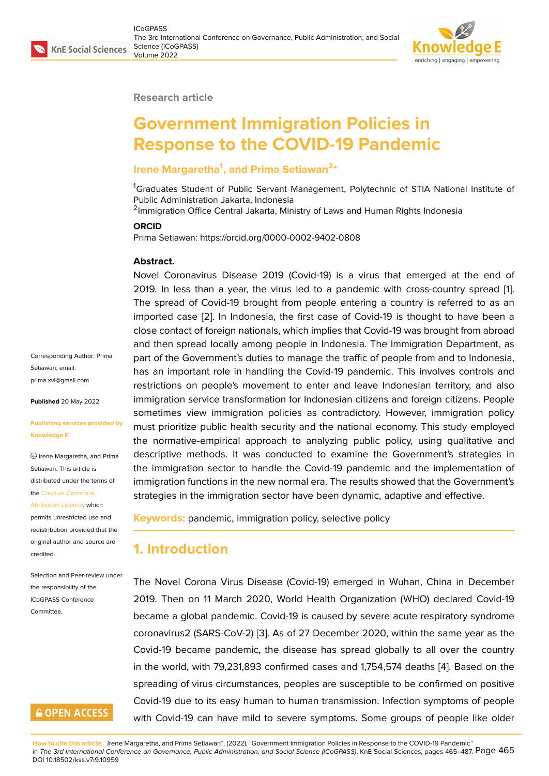

#### **Research article**

# **Government Immigration Policies in Response to the COVID-19 Pandemic**

### **Irene Margaretha<sup>1</sup> , and Prima Setiawan<sup>2</sup> \***

<sup>1</sup>Graduates Student of Public Servant Management, Polytechnic of STIA National Institute of Public Administration Jakarta, Indonesia

<sup>2</sup>Immigration Office Central Jakarta, Ministry of Laws and Human Rights Indonesia

#### **ORCID**

Prima Setiawan: https://orcid.org/0000-0002-9402-0808

#### **Abstract.**

Novel Coronavirus Disease 2019 (Covid-19) is a virus that emerged at the end of 2019. In less than a year, the virus led to a pandemic with cross-country spread [1]. The spread of Covid-19 brought from people entering a country is referred to as an imported case [2]. In Indonesia, the first case of Covid-19 is thought to have been a close contact of foreign nationals, which implies that Covid-19 was brought from abro[ad](#page-19-0) and then spread locally among people in Indonesia. The Immigration Department, as part of the Gov[ern](#page-19-1)ment's duties to manage the traffic of people from and to Indonesia, has an important role in handling the Covid-19 pandemic. This involves controls and restrictions on people's movement to enter and leave Indonesian territory, and also immigration service transformation for Indonesian citizens and foreign citizens. People sometimes view immigration policies as contradictory. However, immigration policy must prioritize public health security and the national economy. This study employed the normative-empirical approach to analyzing public policy, using qualitative and descriptive methods. It was conducted to examine the Government's strategies in the immigration sector to handle the Covid-19 pandemic and the implementation of immigration functions in the new normal era. The results showed that the Government's strategies in the immigration sector have been dynamic, adaptive and effective.

**Keywords:** pandemic, immigration policy, selective policy

### **1. Introduction**

The Novel Corona Virus Disease (Covid-19) emerged in Wuhan, China in December 2019. Then on 11 March 2020, World Health Organization (WHO) declared Covid-19 became a global pandemic. Covid-19 is caused by severe acute respiratory syndrome coronavirus2 (SARS-CoV-2) [3]. As of 27 December 2020, within the same year as the Covid-19 became pandemic, the disease has spread globally to all over the country in the world, with 79,231,893 confirmed cases and 1,754,574 deaths [4]. Based on the spreading of virus circumsta[nc](#page-19-2)es, peoples are susceptible to be confirmed on positive Covid-19 due to its easy human to human transmission. Infection symptoms of people with Covid-19 can have mild to severe symptoms. Some groups of [pe](#page-19-3)ople like older

**How to cite this article**: Irene Margaretha, and Prima Setiawan\*, (2022), "Government Immigration Policies in Response to the COVID-19 Pandemic" in *The 3rd International Conference on Governance, Public Administration, and Social Science (ICoGPASS)*, KnE Social Sciences, pages 465–487. Page 465 DOI 10.18502/kss.v7i9.10959

Corresponding Author: Prima Setiawan; email: prima.xvi@gmail.com

**Published** 20 May 2022

#### **[Publishing services p](mailto:prima.xvi@gmail.com)rovided by Knowledge E**

Irene Margaretha, and Prima Setiawan. This article is distributed under the terms of the Creative Commons

Attribution License, which permits unrestricted use and redistribution provided that the orig[inal author and sou](https://creativecommons.org/licenses/by/4.0/)rce are [credited.](https://creativecommons.org/licenses/by/4.0/)

Selection and Peer-review under the responsibility of the ICoGPASS Conference **Committee** 

# **GOPEN ACCESS**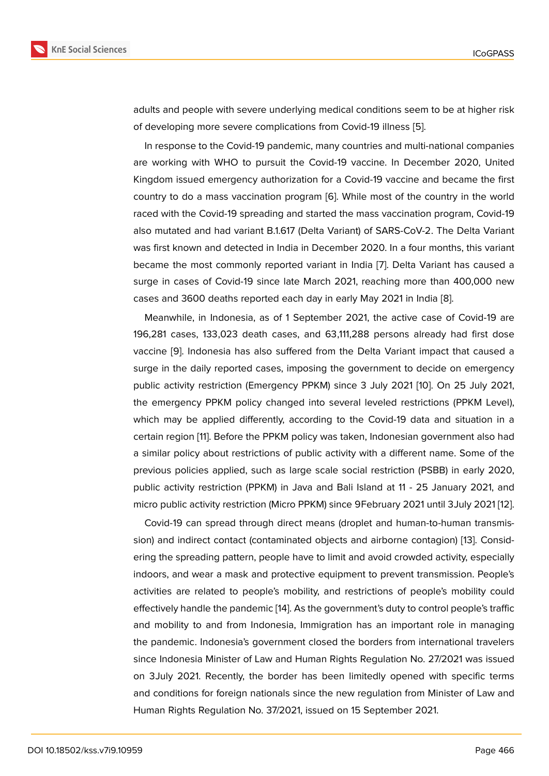adults and people with severe underlying medical conditions seem to be at higher risk of developing more severe complications from Covid-19 illness [5].

In response to the Covid-19 pandemic, many countries and multi-national companies are working with WHO to pursuit the Covid-19 vaccine. In December 2020, United Kingdom issued emergency authorization for a Covid-19 vaccin[e](#page-19-4) and became the first country to do a mass vaccination program [6]. While most of the country in the world raced with the Covid-19 spreading and started the mass vaccination program, Covid-19 also mutated and had variant B.1.617 (Delta Variant) of SARS-CoV-2. The Delta Variant was first known and detected in India in De[ce](#page-19-5)mber 2020. In a four months, this variant became the most commonly reported variant in India [7]. Delta Variant has caused a surge in cases of Covid-19 since late March 2021, reaching more than 400,000 new cases and 3600 deaths reported each day in early May 2021 in India [8].

Meanwhile, in Indonesia, as of 1 September 2021, t[he](#page-19-6) active case of Covid-19 are 196,281 cases, 133,023 death cases, and 63,111,288 persons already had first dose vaccine [9]. Indonesia has also suffered from the Delta Variant impa[ct](#page-19-7) that caused a surge in the daily reported cases, imposing the government to decide on emergency public activity restriction (Emergency PPKM) since 3 July 2021 [10]. On 25 July 2021, the eme[rg](#page-19-8)ency PPKM policy changed into several leveled restrictions (PPKM Level), which may be applied differently, according to the Covid-19 data and situation in a certain region [11]. Before the PPKM policy was taken, Indonesian [go](#page-19-9)vernment also had a similar policy about restrictions of public activity with a different name. Some of the previous policies applied, such as large scale social restriction (PSBB) in early 2020, public activity [re](#page-20-0)striction (PPKM) in Java and Bali Island at 11 - 25 January 2021, and micro public activity restriction (Micro PPKM) since 9February 2021 until 3July 2021 [12].

Covid-19 can spread through direct means (droplet and human-to-human transmission) and indirect contact (contaminated objects and airborne contagion) [13]. Considering the spreading pattern, people have to limit and avoid crowded activity, especi[ally](#page-20-1) indoors, and wear a mask and protective equipment to prevent transmission. People's activities are related to people's mobility, and restrictions of people's m[obi](#page-20-2)lity could effectively handle the pandemic [14]. As the government's duty to control people's traffic and mobility to and from Indonesia, Immigration has an important role in managing the pandemic. Indonesia's government closed the borders from international travelers since Indonesia Minister of Law [and](#page-20-3) Human Rights Regulation No. 27/2021 was issued on 3July 2021. Recently, the border has been limitedly opened with specific terms and conditions for foreign nationals since the new regulation from Minister of Law and Human Rights Regulation No. 37/2021, issued on 15 September 2021.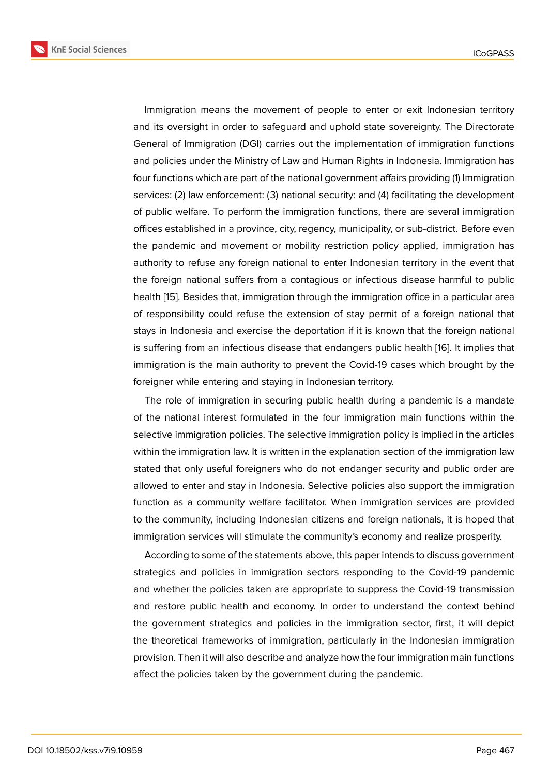Immigration means the movement of people to enter or exit Indonesian territory and its oversight in order to safeguard and uphold state sovereignty. The Directorate General of Immigration (DGI) carries out the implementation of immigration functions and policies under the Ministry of Law and Human Rights in Indonesia. Immigration has four functions which are part of the national government affairs providing (1) Immigration services: (2) law enforcement: (3) national security: and (4) facilitating the development of public welfare. To perform the immigration functions, there are several immigration offices established in a province, city, regency, municipality, or sub-district. Before even the pandemic and movement or mobility restriction policy applied, immigration has authority to refuse any foreign national to enter Indonesian territory in the event that the foreign national suffers from a contagious or infectious disease harmful to public health [15]. Besides that, immigration through the immigration office in a particular area of responsibility could refuse the extension of stay permit of a foreign national that stays in Indonesia and exercise the deportation if it is known that the foreign national is suffe[rin](#page-20-4)g from an infectious disease that endangers public health [16]. It implies that immigration is the main authority to prevent the Covid-19 cases which brought by the foreigner while entering and staying in Indonesian territory.

The role of immigration in securing public health during a pande[mi](#page-20-5)c is a mandate of the national interest formulated in the four immigration main functions within the selective immigration policies. The selective immigration policy is implied in the articles within the immigration law. It is written in the explanation section of the immigration law stated that only useful foreigners who do not endanger security and public order are allowed to enter and stay in Indonesia. Selective policies also support the immigration function as a community welfare facilitator. When immigration services are provided to the community, including Indonesian citizens and foreign nationals, it is hoped that immigration services will stimulate the community's economy and realize prosperity.

According to some of the statements above, this paper intends to discuss government strategics and policies in immigration sectors responding to the Covid-19 pandemic and whether the policies taken are appropriate to suppress the Covid-19 transmission and restore public health and economy. In order to understand the context behind the government strategics and policies in the immigration sector, first, it will depict the theoretical frameworks of immigration, particularly in the Indonesian immigration provision. Then it will also describe and analyze how the four immigration main functions affect the policies taken by the government during the pandemic.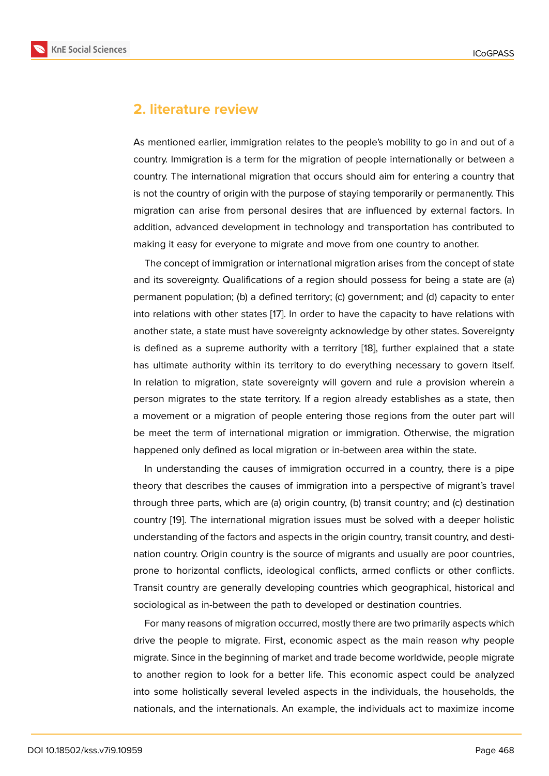### **2. literature review**

As mentioned earlier, immigration relates to the people's mobility to go in and out of a country. Immigration is a term for the migration of people internationally or between a country. The international migration that occurs should aim for entering a country that is not the country of origin with the purpose of staying temporarily or permanently. This migration can arise from personal desires that are influenced by external factors. In addition, advanced development in technology and transportation has contributed to making it easy for everyone to migrate and move from one country to another.

The concept of immigration or international migration arises from the concept of state and its sovereignty. Qualifications of a region should possess for being a state are (a) permanent population; (b) a defined territory; (c) government; and (d) capacity to enter into relations with other states [17]. In order to have the capacity to have relations with another state, a state must have sovereignty acknowledge by other states. Sovereignty is defined as a supreme authority with a territory [18], further explained that a state has ultimate authority within it[s t](#page-20-6)erritory to do everything necessary to govern itself. In relation to migration, state sovereignty will govern and rule a provision wherein a person migrates to the state territory. If a region al[rea](#page-20-7)dy establishes as a state, then a movement or a migration of people entering those regions from the outer part will be meet the term of international migration or immigration. Otherwise, the migration happened only defined as local migration or in-between area within the state.

In understanding the causes of immigration occurred in a country, there is a pipe theory that describes the causes of immigration into a perspective of migrant's travel through three parts, which are (a) origin country, (b) transit country; and (c) destination country [19]. The international migration issues must be solved with a deeper holistic understanding of the factors and aspects in the origin country, transit country, and destination country. Origin country is the source of migrants and usually are poor countries, prone t[o h](#page-20-8)orizontal conflicts, ideological conflicts, armed conflicts or other conflicts. Transit country are generally developing countries which geographical, historical and sociological as in-between the path to developed or destination countries.

For many reasons of migration occurred, mostly there are two primarily aspects which drive the people to migrate. First, economic aspect as the main reason why people migrate. Since in the beginning of market and trade become worldwide, people migrate to another region to look for a better life. This economic aspect could be analyzed into some holistically several leveled aspects in the individuals, the households, the nationals, and the internationals. An example, the individuals act to maximize income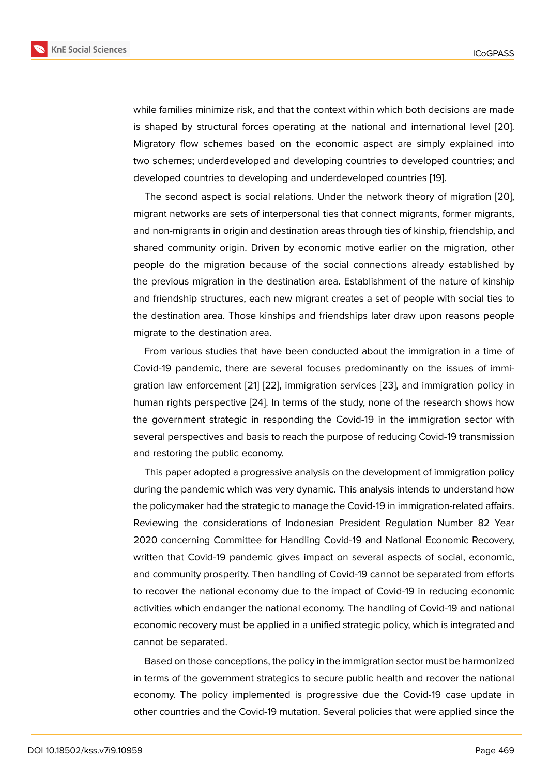while families minimize risk, and that the context within which both decisions are made is shaped by structural forces operating at the national and international level [20]. Migratory flow schemes based on the economic aspect are simply explained into two schemes; underdeveloped and developing countries to developed countries; and developed countries to developing and underdeveloped countries [19].

The second aspect is social relations. Under the network theory of migration [20], migrant networks are sets of interpersonal ties that connect migrants, former migrants, and non-migrants in origin and destination areas through ties of kins[hip](#page-20-8), friendship, and shared community origin. Driven by economic motive earlier on the migration, o[the](#page-20-9)r people do the migration because of the social connections already established by the previous migration in the destination area. Establishment of the nature of kinship and friendship structures, each new migrant creates a set of people with social ties to the destination area. Those kinships and friendships later draw upon reasons people migrate to the destination area.

From various studies that have been conducted about the immigration in a time of Covid-19 pandemic, there are several focuses predominantly on the issues of immigration law enforcement [21] [22], immigration services [23], and immigration policy in human rights perspective [24]. In terms of the study, none of the research shows how the government strategic in responding the Covid-19 in the immigration sector with several perspectives and [ba](#page-20-10)si[s to](#page-20-11) reach the purpose of r[edu](#page-20-12)cing Covid-19 transmission and restoring the public e[con](#page-21-0)omy.

This paper adopted a progressive analysis on the development of immigration policy during the pandemic which was very dynamic. This analysis intends to understand how the policymaker had the strategic to manage the Covid-19 in immigration-related affairs. Reviewing the considerations of Indonesian President Regulation Number 82 Year 2020 concerning Committee for Handling Covid-19 and National Economic Recovery, written that Covid-19 pandemic gives impact on several aspects of social, economic, and community prosperity. Then handling of Covid-19 cannot be separated from efforts to recover the national economy due to the impact of Covid-19 in reducing economic activities which endanger the national economy. The handling of Covid-19 and national economic recovery must be applied in a unified strategic policy, which is integrated and cannot be separated.

Based on those conceptions, the policy in the immigration sector must be harmonized in terms of the government strategics to secure public health and recover the national economy. The policy implemented is progressive due the Covid-19 case update in other countries and the Covid-19 mutation. Several policies that were applied since the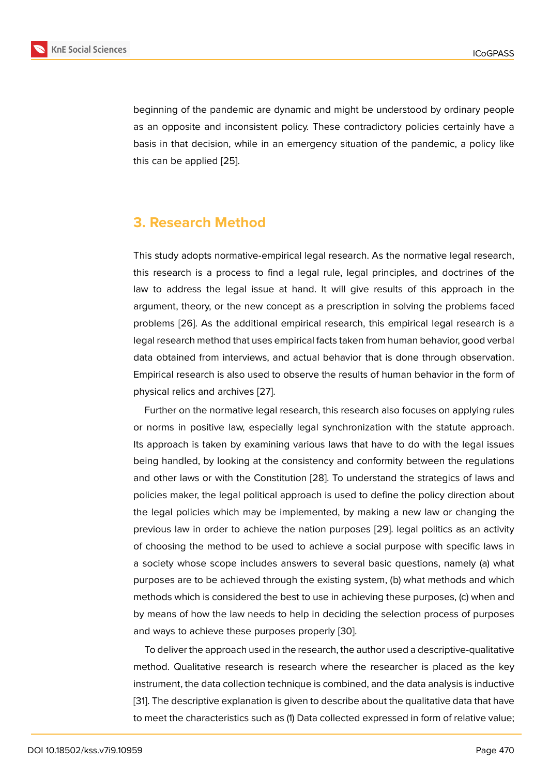beginning of the pandemic are dynamic and might be understood by ordinary people as an opposite and inconsistent policy. These contradictory policies certainly have a basis in that decision, while in an emergency situation of the pandemic, a policy like this can be applied [25].

# **3. Research Method**

This study adopts normative-empirical legal research. As the normative legal research, this research is a process to find a legal rule, legal principles, and doctrines of the law to address the legal issue at hand. It will give results of this approach in the argument, theory, or the new concept as a prescription in solving the problems faced problems [26]. As the additional empirical research, this empirical legal research is a legal research method that uses empirical facts taken from human behavior, good verbal data obtained from interviews, and actual behavior that is done through observation. Empirical r[ese](#page-21-1)arch is also used to observe the results of human behavior in the form of physical relics and archives [27].

Further on the normative legal research, this research also focuses on applying rules or norms in positive law, especially legal synchronization with the statute approach. Its approach is taken by ex[amin](#page-21-2)ing various laws that have to do with the legal issues being handled, by looking at the consistency and conformity between the regulations and other laws or with the Constitution [28]. To understand the strategics of laws and policies maker, the legal political approach is used to define the policy direction about the legal policies which may be implemented, by making a new law or changing the previous law in order to achieve the na[tion](#page-21-3) purposes [29]. legal politics as an activity of choosing the method to be used to achieve a social purpose with specific laws in a society whose scope includes answers to several basic questions, namely (a) what purposes are to be achieved through the existing syst[em,](#page-21-4) (b) what methods and which methods which is considered the best to use in achieving these purposes, (c) when and by means of how the law needs to help in deciding the selection process of purposes and ways to achieve these purposes properly [30].

To deliver the approach used in the research, the author used a descriptive-qualitative method. Qualitative research is research where the researcher is placed as the key instrument, the data collection technique is co[mbin](#page-21-5)ed, and the data analysis is inductive [31]. The descriptive explanation is given to describe about the qualitative data that have to meet the characteristics such as (1) Data collected expressed in form of relative value;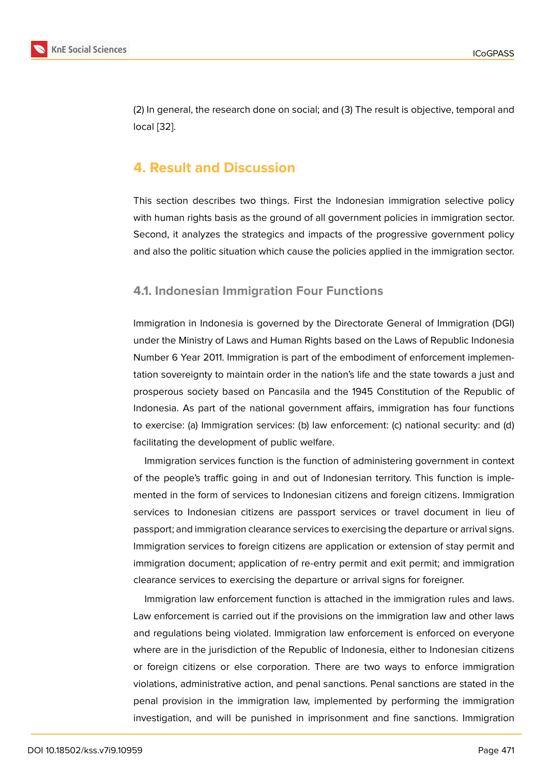(2) In general, the research done on social; and (3) The result is objective, temporal and local [32].

# **4. R[es](#page-21-7)ult and Discussion**

This section describes two things. First the Indonesian immigration selective policy with human rights basis as the ground of all government policies in immigration sector. Second, it analyzes the strategics and impacts of the progressive government policy and also the politic situation which cause the policies applied in the immigration sector.

### **4.1. Indonesian Immigration Four Functions**

Immigration in Indonesia is governed by the Directorate General of Immigration (DGI) under the Ministry of Laws and Human Rights based on the Laws of Republic Indonesia Number 6 Year 2011. Immigration is part of the embodiment of enforcement implementation sovereignty to maintain order in the nation's life and the state towards a just and prosperous society based on Pancasila and the 1945 Constitution of the Republic of Indonesia. As part of the national government affairs, immigration has four functions to exercise: (a) Immigration services: (b) law enforcement: (c) national security: and (d) facilitating the development of public welfare.

Immigration services function is the function of administering government in context of the people's traffic going in and out of Indonesian territory. This function is implemented in the form of services to Indonesian citizens and foreign citizens. Immigration services to Indonesian citizens are passport services or travel document in lieu of passport; and immigration clearance services to exercising the departure or arrival signs. Immigration services to foreign citizens are application or extension of stay permit and immigration document; application of re-entry permit and exit permit; and immigration clearance services to exercising the departure or arrival signs for foreigner.

Immigration law enforcement function is attached in the immigration rules and laws. Law enforcement is carried out if the provisions on the immigration law and other laws and regulations being violated. Immigration law enforcement is enforced on everyone where are in the jurisdiction of the Republic of Indonesia, either to Indonesian citizens or foreign citizens or else corporation. There are two ways to enforce immigration violations, administrative action, and penal sanctions. Penal sanctions are stated in the penal provision in the immigration law, implemented by performing the immigration investigation, and will be punished in imprisonment and fine sanctions. Immigration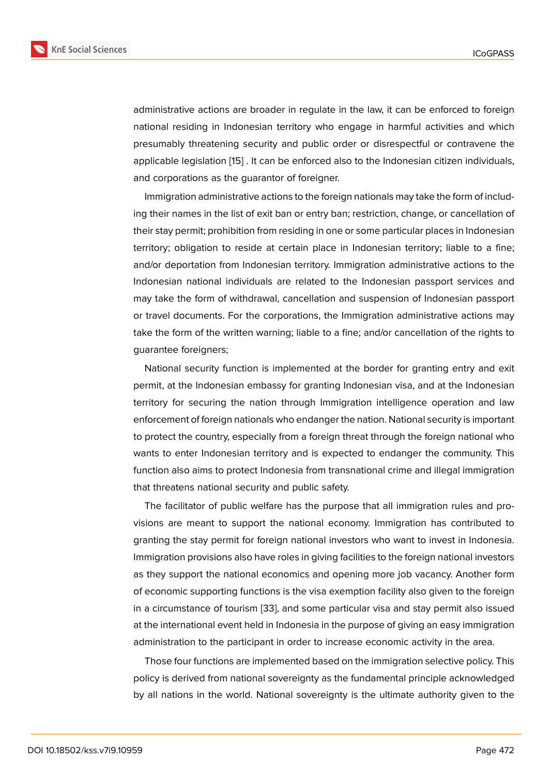administrative actions are broader in regulate in the law, it can be enforced to foreign national residing in Indonesian territory who engage in harmful activities and which presumably threatening security and public order or disrespectful or contravene the applicable legislation [15] . It can be enforced also to the Indonesian citizen individuals, and corporations as the guarantor of foreigner.

Immigration administrative actions to the foreign nationals may take the form of including their names in the [list](#page-20-4) of exit ban or entry ban; restriction, change, or cancellation of their stay permit; prohibition from residing in one or some particular places in Indonesian territory; obligation to reside at certain place in Indonesian territory; liable to a fine; and/or deportation from Indonesian territory. Immigration administrative actions to the Indonesian national individuals are related to the Indonesian passport services and may take the form of withdrawal, cancellation and suspension of Indonesian passport or travel documents. For the corporations, the Immigration administrative actions may take the form of the written warning; liable to a fine; and/or cancellation of the rights to guarantee foreigners;

National security function is implemented at the border for granting entry and exit permit, at the Indonesian embassy for granting Indonesian visa, and at the Indonesian territory for securing the nation through Immigration intelligence operation and law enforcement of foreign nationals who endanger the nation. National security is important to protect the country, especially from a foreign threat through the foreign national who wants to enter Indonesian territory and is expected to endanger the community. This function also aims to protect Indonesia from transnational crime and illegal immigration that threatens national security and public safety.

The facilitator of public welfare has the purpose that all immigration rules and provisions are meant to support the national economy. Immigration has contributed to granting the stay permit for foreign national investors who want to invest in Indonesia. Immigration provisions also have roles in giving facilities to the foreign national investors as they support the national economics and opening more job vacancy. Another form of economic supporting functions is the visa exemption facility also given to the foreign in a circumstance of tourism [33], and some particular visa and stay permit also issued at the international event held in Indonesia in the purpose of giving an easy immigration administration to the participant in order to increase economic activity in the area.

Those four functions are im[ple](#page-21-8)mented based on the immigration selective policy. This policy is derived from national sovereignty as the fundamental principle acknowledged by all nations in the world. National sovereignty is the ultimate authority given to the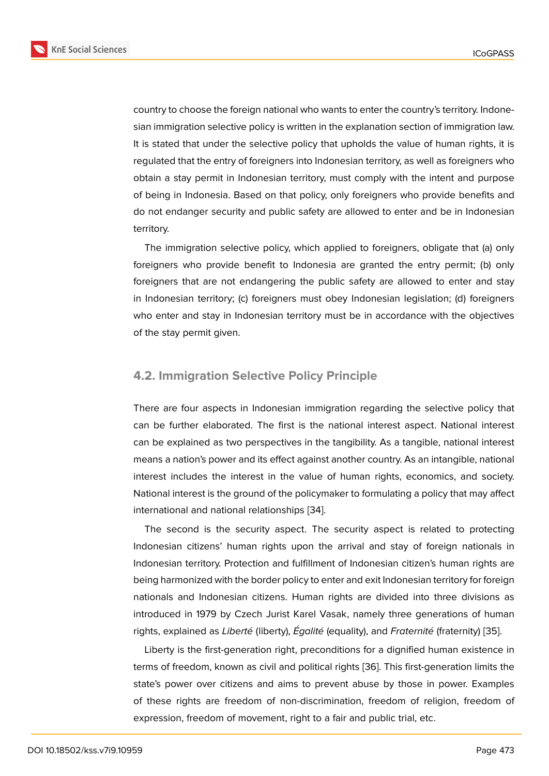country to choose the foreign national who wants to enter the country's territory. Indonesian immigration selective policy is written in the explanation section of immigration law. It is stated that under the selective policy that upholds the value of human rights, it is regulated that the entry of foreigners into Indonesian territory, as well as foreigners who obtain a stay permit in Indonesian territory, must comply with the intent and purpose of being in Indonesia. Based on that policy, only foreigners who provide benefits and do not endanger security and public safety are allowed to enter and be in Indonesian territory.

The immigration selective policy, which applied to foreigners, obligate that (a) only foreigners who provide benefit to Indonesia are granted the entry permit; (b) only foreigners that are not endangering the public safety are allowed to enter and stay in Indonesian territory; (c) foreigners must obey Indonesian legislation; (d) foreigners who enter and stay in Indonesian territory must be in accordance with the objectives of the stay permit given.

### **4.2. Immigration Selective Policy Principle**

There are four aspects in Indonesian immigration regarding the selective policy that can be further elaborated. The first is the national interest aspect. National interest can be explained as two perspectives in the tangibility. As a tangible, national interest means a nation's power and its effect against another country. As an intangible, national interest includes the interest in the value of human rights, economics, and society. National interest is the ground of the policymaker to formulating a policy that may affect international and national relationships [34].

The second is the security aspect. The security aspect is related to protecting Indonesian citizens' human rights upon the arrival and stay of foreign nationals in Indonesian territory. Protection and fulfi[llme](#page-21-9)nt of Indonesian citizen's human rights are being harmonized with the border policy to enter and exit Indonesian territory for foreign nationals and Indonesian citizens. Human rights are divided into three divisions as introduced in 1979 by Czech Jurist Karel Vasak, namely three generations of human rights, explained as *Liberté* (liberty), *Égalité* (equality), and *Fraternité* (fraternity) [35].

Liberty is the first-generation right, preconditions for a dignified human existence in terms of freedom, known as civil and political rights [36]. This first-generation limits the state's power over citizens and aims to prevent abuse by those in power. Ex[amp](#page-21-10)les of these rights are freedom of non-discrimination, freedom of religion, freedom of expression, freedom of movement, right to a fair an[d pu](#page-21-11)blic trial, etc.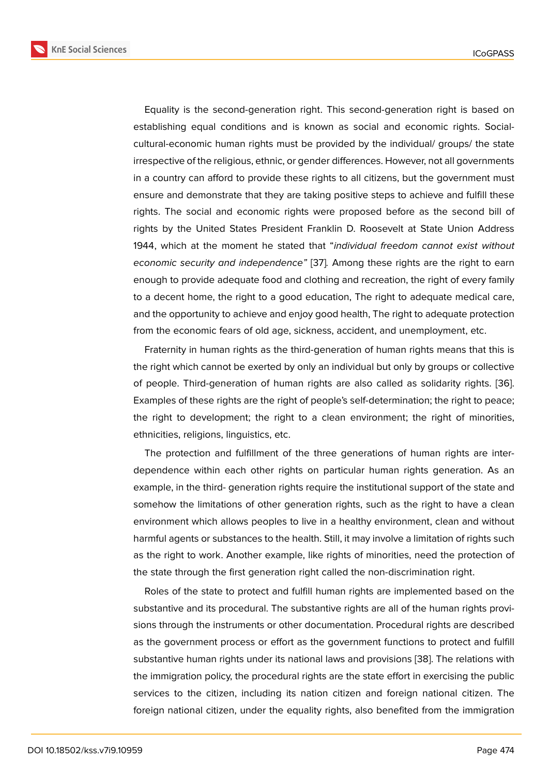Equality is the second-generation right. This second-generation right is based on establishing equal conditions and is known as social and economic rights. Socialcultural-economic human rights must be provided by the individual/ groups/ the state irrespective of the religious, ethnic, or gender differences. However, not all governments in a country can afford to provide these rights to all citizens, but the government must ensure and demonstrate that they are taking positive steps to achieve and fulfill these rights. The social and economic rights were proposed before as the second bill of rights by the United States President Franklin D. Roosevelt at State Union Address 1944, which at the moment he stated that "*individual freedom cannot exist without economic security and independence"* [37]*.* Among these rights are the right to earn enough to provide adequate food and clothing and recreation, the right of every family to a decent home, the right to a good education, The right to adequate medical care, and the opportunity to achieve and enjoy [go](#page-21-12)od health, The right to adequate protection from the economic fears of old age, sickness, accident, and unemployment, etc.

Fraternity in human rights as the third-generation of human rights means that this is the right which cannot be exerted by only an individual but only by groups or collective of people. Third-generation of human rights are also called as solidarity rights. [36]. Examples of these rights are the right of people's self-determination; the right to peace; the right to development; the right to a clean environment; the right of minorities, ethnicities, religions, linguistics, etc.

The protection and fulfillment of the three generations of human rights are interdependence within each other rights on particular human rights generation. As an example, in the third- generation rights require the institutional support of the state and somehow the limitations of other generation rights, such as the right to have a clean environment which allows peoples to live in a healthy environment, clean and without harmful agents or substances to the health. Still, it may involve a limitation of rights such as the right to work. Another example, like rights of minorities, need the protection of the state through the first generation right called the non-discrimination right.

Roles of the state to protect and fulfill human rights are implemented based on the substantive and its procedural. The substantive rights are all of the human rights provisions through the instruments or other documentation. Procedural rights are described as the government process or effort as the government functions to protect and fulfill substantive human rights under its national laws and provisions [38]. The relations with the immigration policy, the procedural rights are the state effort in exercising the public services to the citizen, including its nation citizen and foreign national citizen. The foreign national citizen, under the equality rights, also benefite[d fro](#page-21-13)m the immigration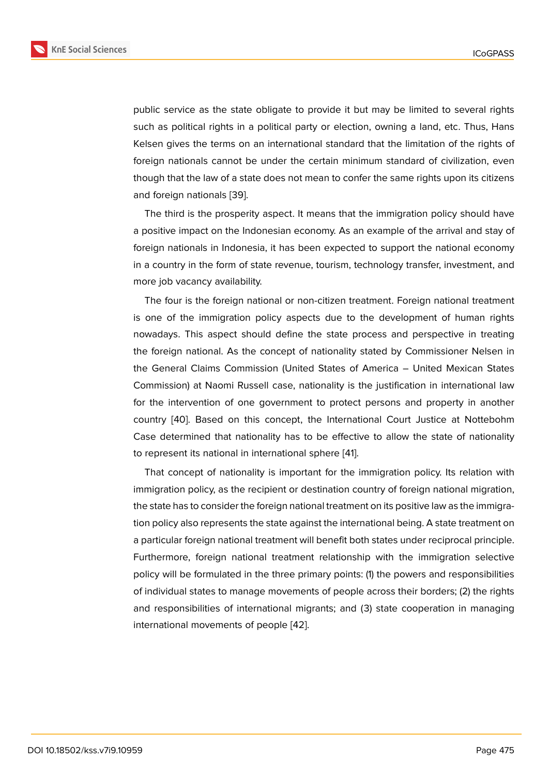public service as the state obligate to provide it but may be limited to several rights such as political rights in a political party or election, owning a land, etc. Thus, Hans Kelsen gives the terms on an international standard that the limitation of the rights of foreign nationals cannot be under the certain minimum standard of civilization, even though that the law of a state does not mean to confer the same rights upon its citizens and foreign nationals [39].

The third is the prosperity aspect. It means that the immigration policy should have a positive impact on the Indonesian economy. As an example of the arrival and stay of foreign nationals in In[don](#page-22-0)esia, it has been expected to support the national economy in a country in the form of state revenue, tourism, technology transfer, investment, and more job vacancy availability.

The four is the foreign national or non-citizen treatment. Foreign national treatment is one of the immigration policy aspects due to the development of human rights nowadays. This aspect should define the state process and perspective in treating the foreign national. As the concept of nationality stated by Commissioner Nelsen in the General Claims Commission (United States of America – United Mexican States Commission) at Naomi Russell case, nationality is the justification in international law for the intervention of one government to protect persons and property in another country [40]. Based on this concept, the International Court Justice at Nottebohm Case determined that nationality has to be effective to allow the state of nationality to represent its national in international sphere [41].

That c[onc](#page-22-1)ept of nationality is important for the immigration policy. Its relation with immigration policy, as the recipient or destination country of foreign national migration, the state has to consider the foreign national trea[tm](#page-22-2)ent on its positive law as the immigration policy also represents the state against the international being. A state treatment on a particular foreign national treatment will benefit both states under reciprocal principle. Furthermore, foreign national treatment relationship with the immigration selective policy will be formulated in the three primary points: (1) the powers and responsibilities of individual states to manage movements of people across their borders; (2) the rights and responsibilities of international migrants; and (3) state cooperation in managing international movements of people [42].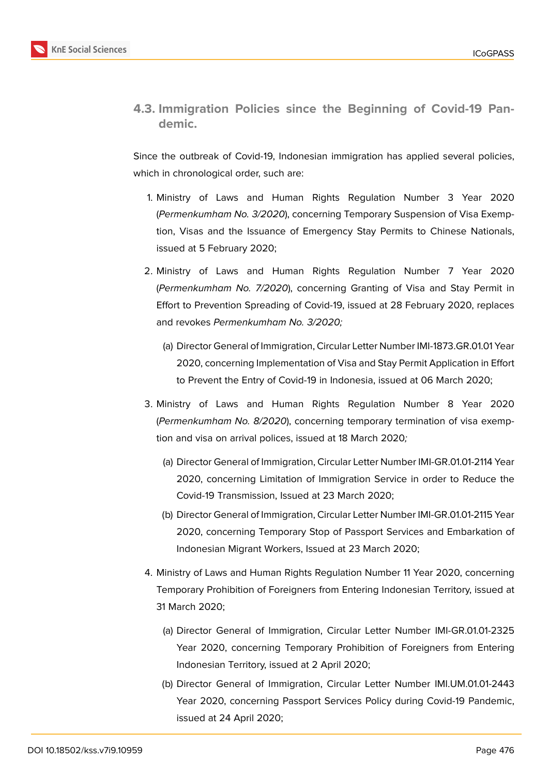

**4.3. Immigration Policies since the Beginning of Covid-19 Pandemic.**

Since the outbreak of Covid-19, Indonesian immigration has applied several policies, which in chronological order, such are:

- 1. Ministry of Laws and Human Rights Regulation Number 3 Year 2020 (*Permenkumham No. 3/2020*), concerning Temporary Suspension of Visa Exemption, Visas and the Issuance of Emergency Stay Permits to Chinese Nationals, issued at 5 February 2020;
- 2. Ministry of Laws and Human Rights Regulation Number 7 Year 2020 (*Permenkumham No. 7/2020*), concerning Granting of Visa and Stay Permit in Effort to Prevention Spreading of Covid-19, issued at 28 February 2020, replaces and revokes *Permenkumham No. 3/2020;*
	- (a) Director General of Immigration, Circular Letter Number IMI-1873.GR.01.01 Year 2020, concerning Implementation of Visa and Stay Permit Application in Effort to Prevent the Entry of Covid-19 in Indonesia, issued at 06 March 2020;
- 3. Ministry of Laws and Human Rights Regulation Number 8 Year 2020 (*Permenkumham No. 8/2020*), concerning temporary termination of visa exemption and visa on arrival polices, issued at 18 March 2020*;*
	- (a) Director General of Immigration, Circular Letter Number IMI-GR.01.01-2114 Year 2020, concerning Limitation of Immigration Service in order to Reduce the Covid-19 Transmission, Issued at 23 March 2020;
	- (b) Director General of Immigration, Circular Letter Number IMI-GR.01.01-2115 Year 2020, concerning Temporary Stop of Passport Services and Embarkation of Indonesian Migrant Workers, Issued at 23 March 2020;
- 4. Ministry of Laws and Human Rights Regulation Number 11 Year 2020, concerning Temporary Prohibition of Foreigners from Entering Indonesian Territory, issued at 31 March 2020;
	- (a) Director General of Immigration, Circular Letter Number IMI-GR.01.01-2325 Year 2020, concerning Temporary Prohibition of Foreigners from Entering Indonesian Territory, issued at 2 April 2020;
	- (b) Director General of Immigration, Circular Letter Number IMI.UM.01.01-2443 Year 2020, concerning Passport Services Policy during Covid-19 Pandemic, issued at 24 April 2020;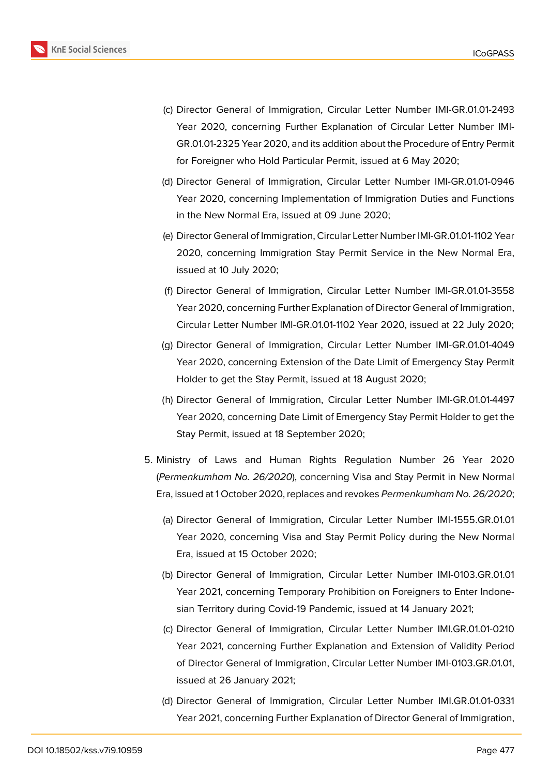

- (c) Director General of Immigration, Circular Letter Number IMI-GR.01.01-2493 Year 2020, concerning Further Explanation of Circular Letter Number IMI-GR.01.01-2325 Year 2020, and its addition about the Procedure of Entry Permit for Foreigner who Hold Particular Permit, issued at 6 May 2020;
- (d) Director General of Immigration, Circular Letter Number IMI-GR.01.01-0946 Year 2020, concerning Implementation of Immigration Duties and Functions in the New Normal Era, issued at 09 June 2020;
- (e) Director General of Immigration, Circular Letter Number IMI-GR.01.01-1102 Year 2020, concerning Immigration Stay Permit Service in the New Normal Era, issued at 10 July 2020;
- (f) Director General of Immigration, Circular Letter Number IMI-GR.01.01-3558 Year 2020, concerning Further Explanation of Director General of Immigration, Circular Letter Number IMI-GR.01.01-1102 Year 2020, issued at 22 July 2020;
- (g) Director General of Immigration, Circular Letter Number IMI-GR.01.01-4049 Year 2020, concerning Extension of the Date Limit of Emergency Stay Permit Holder to get the Stay Permit, issued at 18 August 2020;
- (h) Director General of Immigration, Circular Letter Number IMI-GR.01.01-4497 Year 2020, concerning Date Limit of Emergency Stay Permit Holder to get the Stay Permit, issued at 18 September 2020;
- 5. Ministry of Laws and Human Rights Regulation Number 26 Year 2020 (*Permenkumham No. 26/2020*), concerning Visa and Stay Permit in New Normal Era, issued at 1 October 2020, replaces and revokes *Permenkumham No. 26/2020*;
	- (a) Director General of Immigration, Circular Letter Number IMI-1555.GR.01.01 Year 2020, concerning Visa and Stay Permit Policy during the New Normal Era, issued at 15 October 2020;
	- (b) Director General of Immigration, Circular Letter Number IMI-0103.GR.01.01 Year 2021, concerning Temporary Prohibition on Foreigners to Enter Indonesian Territory during Covid-19 Pandemic, issued at 14 January 2021;
	- (c) Director General of Immigration, Circular Letter Number IMI.GR.01.01-0210 Year 2021, concerning Further Explanation and Extension of Validity Period of Director General of Immigration, Circular Letter Number IMI-0103.GR.01.01, issued at 26 January 2021;
	- (d) Director General of Immigration, Circular Letter Number IMI.GR.01.01-0331 Year 2021, concerning Further Explanation of Director General of Immigration,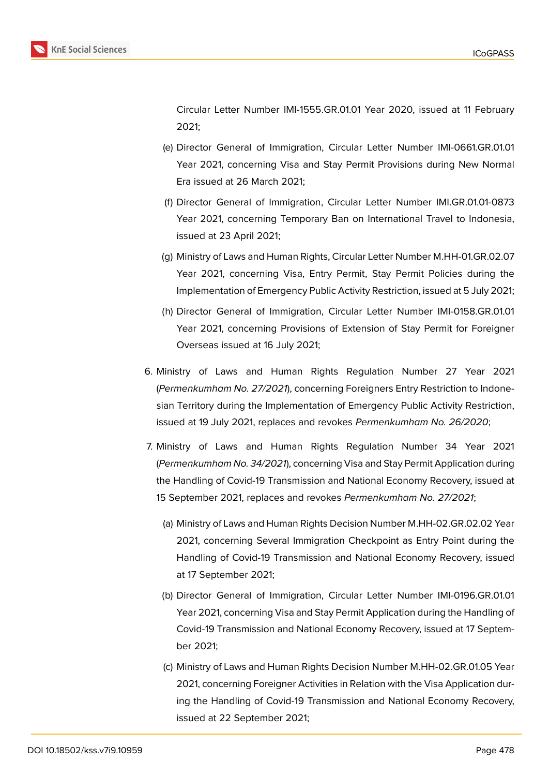

Circular Letter Number IMI-1555.GR.01.01 Year 2020, issued at 11 February 2021;

- (e) Director General of Immigration, Circular Letter Number IMI-0661.GR.01.01 Year 2021, concerning Visa and Stay Permit Provisions during New Normal Era issued at 26 March 2021;
- (f) Director General of Immigration, Circular Letter Number IMI.GR.01.01-0873 Year 2021, concerning Temporary Ban on International Travel to Indonesia, issued at 23 April 2021;
- (g) Ministry of Laws and Human Rights, Circular Letter Number M.HH-01.GR.02.07 Year 2021, concerning Visa, Entry Permit, Stay Permit Policies during the Implementation of Emergency Public Activity Restriction, issued at 5 July 2021;
- (h) Director General of Immigration, Circular Letter Number IMI-0158.GR.01.01 Year 2021, concerning Provisions of Extension of Stay Permit for Foreigner Overseas issued at 16 July 2021;
- 6. Ministry of Laws and Human Rights Regulation Number 27 Year 2021 (*Permenkumham No. 27/2021*), concerning Foreigners Entry Restriction to Indonesian Territory during the Implementation of Emergency Public Activity Restriction, issued at 19 July 2021, replaces and revokes *Permenkumham No. 26/2020*;
- 7. Ministry of Laws and Human Rights Regulation Number 34 Year 2021 (*Permenkumham No. 34/2021*), concerning Visa and Stay Permit Application during the Handling of Covid-19 Transmission and National Economy Recovery, issued at 15 September 2021, replaces and revokes *Permenkumham No. 27/2021*;
	- (a) Ministry of Laws and Human Rights Decision Number M.HH-02.GR.02.02 Year 2021, concerning Several Immigration Checkpoint as Entry Point during the Handling of Covid-19 Transmission and National Economy Recovery, issued at 17 September 2021;
	- (b) Director General of Immigration, Circular Letter Number IMI-0196.GR.01.01 Year 2021, concerning Visa and Stay Permit Application during the Handling of Covid-19 Transmission and National Economy Recovery, issued at 17 September 2021;
	- (c) Ministry of Laws and Human Rights Decision Number M.HH-02.GR.01.05 Year 2021, concerning Foreigner Activities in Relation with the Visa Application during the Handling of Covid-19 Transmission and National Economy Recovery, issued at 22 September 2021;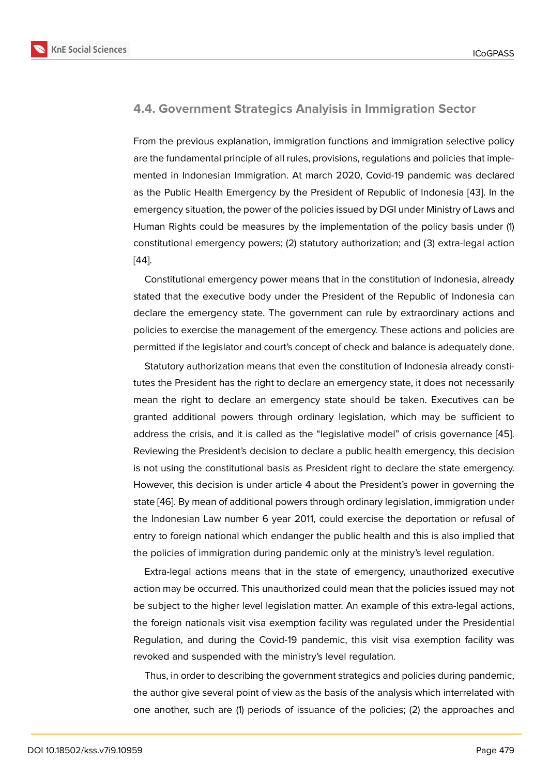#### **4.4. Government Strategics Analyisis in Immigration Sector**

From the previous explanation, immigration functions and immigration selective policy are the fundamental principle of all rules, provisions, regulations and policies that implemented in Indonesian Immigration. At march 2020, Covid-19 pandemic was declared as the Public Health Emergency by the President of Republic of Indonesia [43]. In the emergency situation, the power of the policies issued by DGI under Ministry of Laws and Human Rights could be measures by the implementation of the policy basis under (1) constitutional emergency powers; (2) statutory authorization; and (3) extra-l[ega](#page-22-3)l action [44].

Constitutional emergency power means that in the constitution of Indonesia, already stated that the executive body under the President of the Republic of Indonesia can [dec](#page-22-4)lare the emergency state. The government can rule by extraordinary actions and policies to exercise the management of the emergency. These actions and policies are permitted if the legislator and court's concept of check and balance is adequately done.

Statutory authorization means that even the constitution of Indonesia already constitutes the President has the right to declare an emergency state, it does not necessarily mean the right to declare an emergency state should be taken. Executives can be granted additional powers through ordinary legislation, which may be sufficient to address the crisis, and it is called as the "legislative model" of crisis governance [45]. Reviewing the President's decision to declare a public health emergency, this decision is not using the constitutional basis as President right to declare the state emergency. However, this decision is under article 4 about the President's power in governing [the](#page-22-5) state [46]. By mean of additional powers through ordinary legislation, immigration under the Indonesian Law number 6 year 2011, could exercise the deportation or refusal of entry to foreign national which endanger the public health and this is also implied that the p[olic](#page-22-6)ies of immigration during pandemic only at the ministry's level regulation.

Extra-legal actions means that in the state of emergency, unauthorized executive action may be occurred. This unauthorized could mean that the policies issued may not be subject to the higher level legislation matter. An example of this extra-legal actions, the foreign nationals visit visa exemption facility was regulated under the Presidential Regulation, and during the Covid-19 pandemic, this visit visa exemption facility was revoked and suspended with the ministry's level regulation.

Thus, in order to describing the government strategics and policies during pandemic, the author give several point of view as the basis of the analysis which interrelated with one another, such are (1) periods of issuance of the policies; (2) the approaches and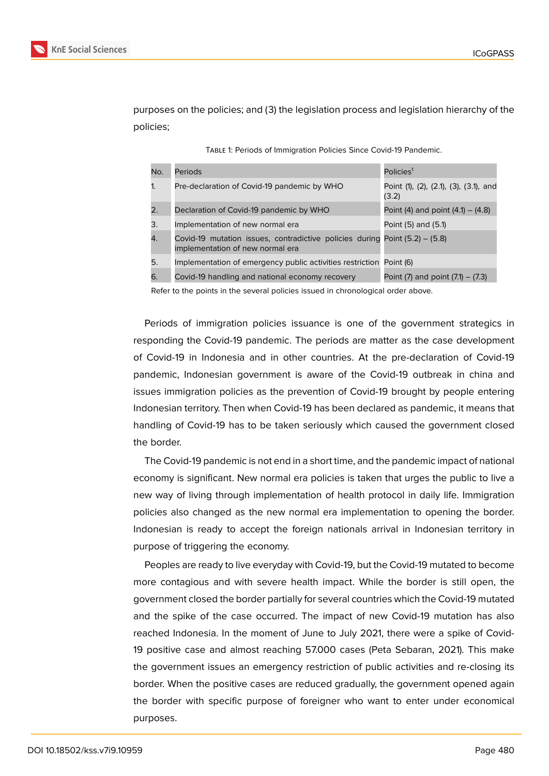

purposes on the policies; and (3) the legislation process and legislation hierarchy of the policies;

|  | TABLE 1: Periods of Immigration Policies Since Covid-19 Pandemic. |
|--|-------------------------------------------------------------------|
|  |                                                                   |

| No.            | Periods                                                                                                           | Policies <sup>1</sup>                           |
|----------------|-------------------------------------------------------------------------------------------------------------------|-------------------------------------------------|
| $\mathbf{1}$ . | Pre-declaration of Covid-19 pandemic by WHO                                                                       | Point (1), (2), (2.1), (3), (3.1), and<br>(3.2) |
| 2.             | Declaration of Covid-19 pandemic by WHO                                                                           | Point (4) and point $(4.1) - (4.8)$             |
| 3.             | Implementation of new normal era                                                                                  | Point (5) and (5.1)                             |
| 4.             | Covid-19 mutation issues, contradictive policies during Point $(5.2) - (5.8)$<br>implementation of new normal era |                                                 |
| 5.             | Implementation of emergency public activities restriction Point (6)                                               |                                                 |
| 6.             | Covid-19 handling and national economy recovery                                                                   | Point $(7)$ and point $(7.1) - (7.3)$           |

Refer to the points in the several policies issued in chronological order above.

Periods of immigration policies issuance is one of the government strategics in responding the Covid-19 pandemic. The periods are matter as the case development of Covid-19 in Indonesia and in other countries. At the pre-declaration of Covid-19 pandemic, Indonesian government is aware of the Covid-19 outbreak in china and issues immigration policies as the prevention of Covid-19 brought by people entering Indonesian territory. Then when Covid-19 has been declared as pandemic, it means that handling of Covid-19 has to be taken seriously which caused the government closed the border.

The Covid-19 pandemic is not end in a short time, and the pandemic impact of national economy is significant. New normal era policies is taken that urges the public to live a new way of living through implementation of health protocol in daily life. Immigration policies also changed as the new normal era implementation to opening the border. Indonesian is ready to accept the foreign nationals arrival in Indonesian territory in purpose of triggering the economy.

Peoples are ready to live everyday with Covid-19, but the Covid-19 mutated to become more contagious and with severe health impact. While the border is still open, the government closed the border partially for several countries which the Covid-19 mutated and the spike of the case occurred. The impact of new Covid-19 mutation has also reached Indonesia. In the moment of June to July 2021, there were a spike of Covid-19 positive case and almost reaching 57.000 cases (Peta Sebaran, 2021). This make the government issues an emergency restriction of public activities and re-closing its border. When the positive cases are reduced gradually, the government opened again the border with specific purpose of foreigner who want to enter under economical purposes.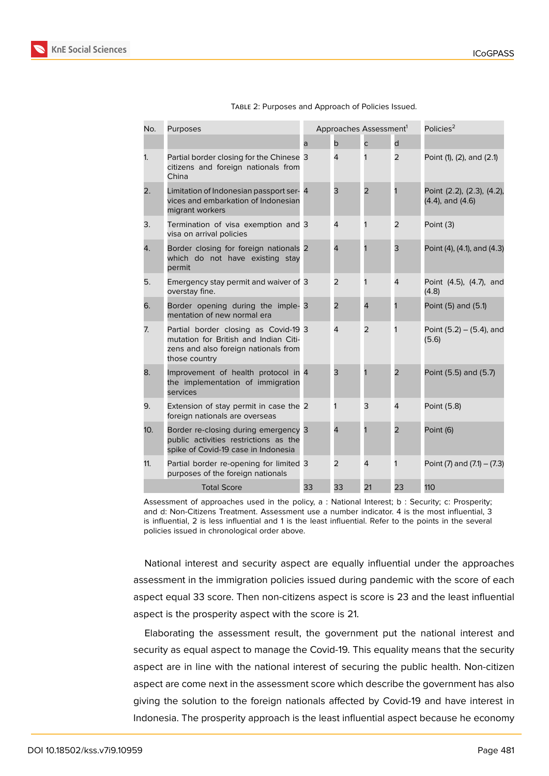| No.                | Purposes                                                                                                                               | Approaches Assessment <sup>1</sup> |                | Policies <sup>2</sup> |                |                                                     |
|--------------------|----------------------------------------------------------------------------------------------------------------------------------------|------------------------------------|----------------|-----------------------|----------------|-----------------------------------------------------|
|                    |                                                                                                                                        | a                                  | b              | C                     | d              |                                                     |
| 1.                 | Partial border closing for the Chinese 3<br>citizens and foreign nationals from<br>China                                               |                                    | $\overline{4}$ | 1                     | 2              | Point (1), (2), and (2.1)                           |
| 2.                 | Limitation of Indonesian passport ser- 4<br>vices and embarkation of Indonesian<br>migrant workers                                     |                                    | 3              | $\overline{2}$        | 1              | Point (2.2), (2.3), (4.2),<br>$(4.4)$ , and $(4.6)$ |
| 3.                 | Termination of visa exemption and 3<br>visa on arrival policies                                                                        |                                    | 4              | 1                     | 2              | Point (3)                                           |
| 4.                 | Border closing for foreign nationals 2<br>which do not have existing stay<br>permit                                                    |                                    | $\overline{4}$ |                       | 3              | Point (4), (4.1), and (4.3)                         |
| 5.                 | Emergency stay permit and waiver of 3<br>overstay fine.                                                                                |                                    | $\overline{2}$ | 1                     | $\overline{4}$ | Point (4.5), (4.7), and<br>(4.8)                    |
| 6.                 | Border opening during the imple- 3<br>mentation of new normal era                                                                      |                                    | $\overline{2}$ | 4                     | 1              | Point (5) and (5.1)                                 |
| 7.                 | Partial border closing as Covid-19 3<br>mutation for British and Indian Citi-<br>zens and also foreign nationals from<br>those country |                                    | $\overline{4}$ | $\overline{2}$        | 1              | Point $(5.2) - (5.4)$ , and<br>(5.6)                |
| 8.                 | Improvement of health protocol in 4<br>the implementation of immigration<br>services                                                   |                                    | 3              |                       | $\overline{2}$ | Point (5.5) and (5.7)                               |
| 9.                 | Extension of stay permit in case the 2<br>foreign nationals are overseas                                                               |                                    | 1              | 3                     | $\overline{4}$ | Point (5.8)                                         |
| 10.                | Border re-closing during emergency 3<br>public activities restrictions as the<br>spike of Covid-19 case in Indonesia                   |                                    | $\overline{4}$ |                       | $\overline{2}$ | Point (6)                                           |
| 11.                | Partial border re-opening for limited 3<br>purposes of the foreign nationals                                                           |                                    | 2              | 4                     | 1              | Point $(7)$ and $(7.1) - (7.3)$                     |
| <b>Total Score</b> |                                                                                                                                        | 33                                 | 33             | 21                    | 23             | 110                                                 |

Assessment of approaches used in the policy, a : National Interest; b : Security; c: Prosperity; and d: Non-Citizens Treatment. Assessment use a number indicator. 4 is the most influential, 3 is influential, 2 is less influential and 1 is the least influential. Refer to the points in the several policies issued in chronological order above.

National interest and security aspect are equally influential under the approaches assessment in the immigration policies issued during pandemic with the score of each aspect equal 33 score. Then non-citizens aspect is score is 23 and the least influential aspect is the prosperity aspect with the score is 21.

Elaborating the assessment result, the government put the national interest and security as equal aspect to manage the Covid-19. This equality means that the security aspect are in line with the national interest of securing the public health. Non-citizen aspect are come next in the assessment score which describe the government has also giving the solution to the foreign nationals affected by Covid-19 and have interest in Indonesia. The prosperity approach is the least influential aspect because he economy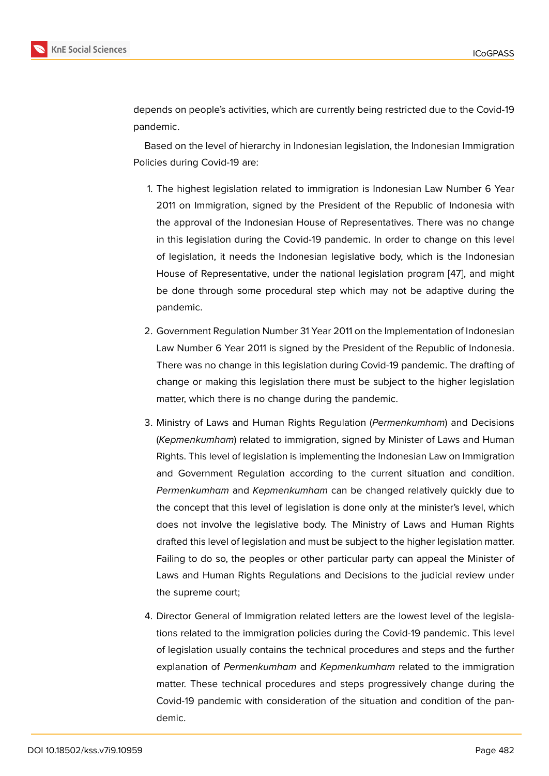depends on people's activities, which are currently being restricted due to the Covid-19 pandemic.

Based on the level of hierarchy in Indonesian legislation, the Indonesian Immigration Policies during Covid-19 are:

- 1. The highest legislation related to immigration is Indonesian Law Number 6 Year 2011 on Immigration, signed by the President of the Republic of Indonesia with the approval of the Indonesian House of Representatives. There was no change in this legislation during the Covid-19 pandemic. In order to change on this level of legislation, it needs the Indonesian legislative body, which is the Indonesian House of Representative, under the national legislation program [47], and might be done through some procedural step which may not be adaptive during the pandemic.
- 2. Government Regulation Number 31 Year 2011 on the Implementation of Indonesian Law Number 6 Year 2011 is signed by the President of the Republic of Indonesia. There was no change in this legislation during Covid-19 pandemic. The drafting of change or making this legislation there must be subject to the higher legislation matter, which there is no change during the pandemic.
- 3. Ministry of Laws and Human Rights Regulation (*Permenkumham*) and Decisions (*Kepmenkumham*) related to immigration, signed by Minister of Laws and Human Rights. This level of legislation is implementing the Indonesian Law on Immigration and Government Regulation according to the current situation and condition. *Permenkumham* and *Kepmenkumham* can be changed relatively quickly due to the concept that this level of legislation is done only at the minister's level, which does not involve the legislative body. The Ministry of Laws and Human Rights drafted this level of legislation and must be subject to the higher legislation matter. Failing to do so, the peoples or other particular party can appeal the Minister of Laws and Human Rights Regulations and Decisions to the judicial review under the supreme court;
- 4. Director General of Immigration related letters are the lowest level of the legislations related to the immigration policies during the Covid-19 pandemic. This level of legislation usually contains the technical procedures and steps and the further explanation of *Permenkumham* and *Kepmenkumham* related to the immigration matter. These technical procedures and steps progressively change during the Covid-19 pandemic with consideration of the situation and condition of the pandemic.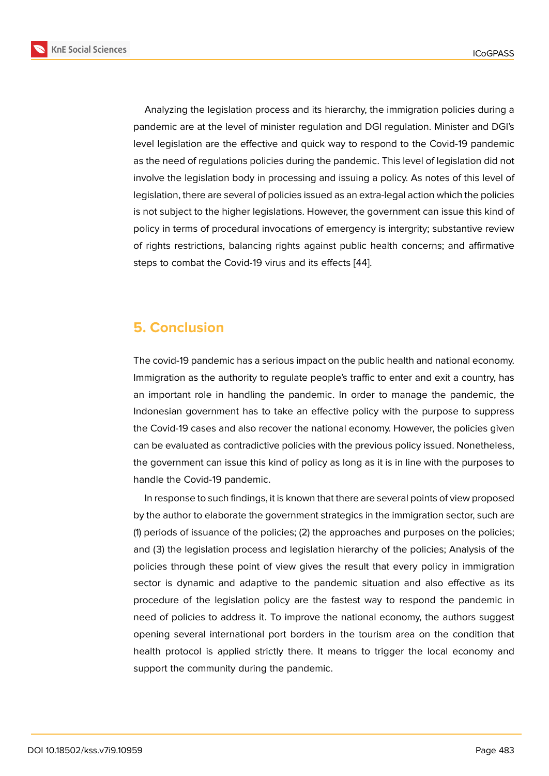Analyzing the legislation process and its hierarchy, the immigration policies during a pandemic are at the level of minister regulation and DGI regulation. Minister and DGI's level legislation are the effective and quick way to respond to the Covid-19 pandemic as the need of regulations policies during the pandemic. This level of legislation did not involve the legislation body in processing and issuing a policy. As notes of this level of legislation, there are several of policies issued as an extra-legal action which the policies is not subject to the higher legislations. However, the government can issue this kind of policy in terms of procedural invocations of emergency is intergrity; substantive review of rights restrictions, balancing rights against public health concerns; and affirmative steps to combat the Covid-19 virus and its effects [44].

# **5. Conclusion**

The covid-19 pandemic has a serious impact on the public health and national economy. Immigration as the authority to regulate people's traffic to enter and exit a country, has an important role in handling the pandemic. In order to manage the pandemic, the Indonesian government has to take an effective policy with the purpose to suppress the Covid-19 cases and also recover the national economy. However, the policies given can be evaluated as contradictive policies with the previous policy issued. Nonetheless, the government can issue this kind of policy as long as it is in line with the purposes to handle the Covid-19 pandemic.

In response to such findings, it is known that there are several points of view proposed by the author to elaborate the government strategics in the immigration sector, such are (1) periods of issuance of the policies; (2) the approaches and purposes on the policies; and (3) the legislation process and legislation hierarchy of the policies; Analysis of the policies through these point of view gives the result that every policy in immigration sector is dynamic and adaptive to the pandemic situation and also effective as its procedure of the legislation policy are the fastest way to respond the pandemic in need of policies to address it. To improve the national economy, the authors suggest opening several international port borders in the tourism area on the condition that health protocol is applied strictly there. It means to trigger the local economy and support the community during the pandemic.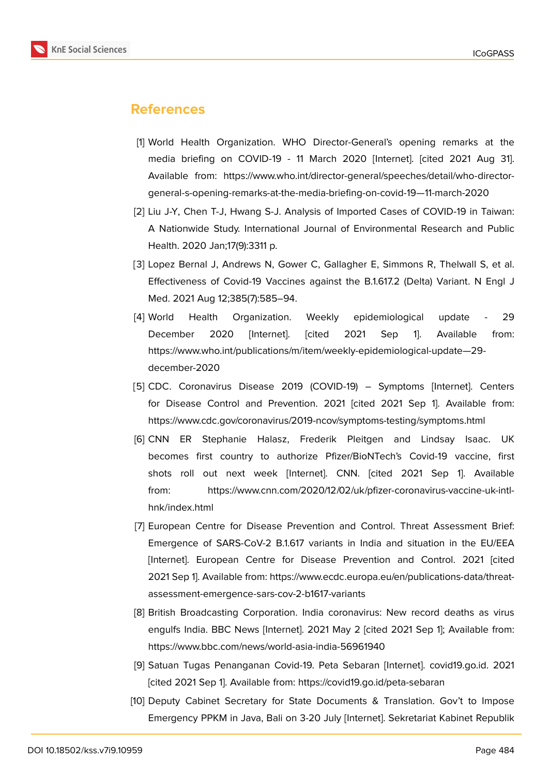

# **References**

- <span id="page-19-0"></span>[1] World Health Organization. WHO Director-General's opening remarks at the media briefing on COVID-19 - 11 March 2020 [Internet]. [cited 2021 Aug 31]. Available from: https://www.who.int/director-general/speeches/detail/who-directorgeneral-s-opening-remarks-at-the-media-briefing-on-covid-19—11-march-2020
- <span id="page-19-1"></span>[2] Liu J-Y, Chen T-J, Hwang S-J. Analysis of Imported Cases of COVID-19 in Taiwan: A Nationwide Study. International Journal of Environmental Research and Public Health. 2020 Jan;17(9):3311 p.
- <span id="page-19-2"></span>[3] Lopez Bernal J, Andrews N, Gower C, Gallagher E, Simmons R, Thelwall S, et al. Effectiveness of Covid-19 Vaccines against the B.1.617.2 (Delta) Variant. N Engl J Med. 2021 Aug 12;385(7):585–94.
- <span id="page-19-3"></span>[4] World Health Organization. Weekly epidemiological update - 29 December 2020 [Internet]. [cited 2021 Sep 1]. Available from: https://www.who.int/publications/m/item/weekly-epidemiological-update—29 december-2020
- <span id="page-19-4"></span>[5] CDC. Coronavirus Disease 2019 (COVID-19) – Symptoms [Internet]. Centers for Disease Control and Prevention. 2021 [cited 2021 Sep 1]. Available from: https://www.cdc.gov/coronavirus/2019-ncov/symptoms-testing/symptoms.html
- <span id="page-19-5"></span>[6] CNN ER Stephanie Halasz, Frederik Pleitgen and Lindsay Isaac. UK becomes first country to authorize Pfizer/BioNTech's Covid-19 vaccine, first shots roll out next week [Internet]. CNN. [cited 2021 Sep 1]. Available from: https://www.cnn.com/2020/12/02/uk/pfizer-coronavirus-vaccine-uk-intlhnk/index.html
- <span id="page-19-6"></span>[7] European Centre for Disease Prevention and Control. Threat Assessment Brief: Emergence of SARS-CoV-2 B.1.617 variants in India and situation in the EU/EEA [Internet]. European Centre for Disease Prevention and Control. 2021 [cited 2021 Sep 1]. Available from: https://www.ecdc.europa.eu/en/publications-data/threatassessment-emergence-sars-cov-2-b1617-variants
- <span id="page-19-7"></span>[8] British Broadcasting Corporation. India coronavirus: New record deaths as virus engulfs India. BBC News [Internet]. 2021 May 2 [cited 2021 Sep 1]; Available from: https://www.bbc.com/news/world-asia-india-56961940
- <span id="page-19-8"></span>[9] Satuan Tugas Penanganan Covid-19. Peta Sebaran [Internet]. covid19.go.id. 2021 [cited 2021 Sep 1]. Available from: https://covid19.go.id/peta-sebaran
- <span id="page-19-9"></span>[10] Deputy Cabinet Secretary for State Documents & Translation. Gov't to Impose Emergency PPKM in Java, Bali on 3-20 July [Internet]. Sekretariat Kabinet Republik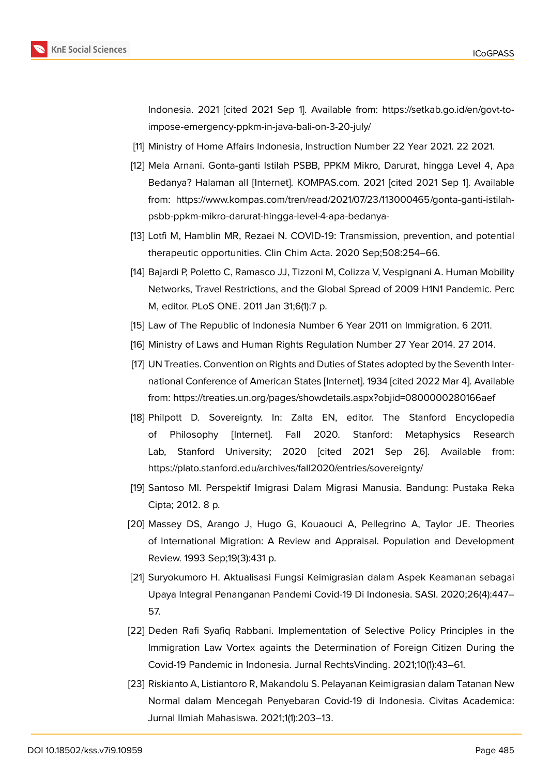

Indonesia. 2021 [cited 2021 Sep 1]. Available from: https://setkab.go.id/en/govt-toimpose-emergency-ppkm-in-java-bali-on-3-20-july/

- <span id="page-20-0"></span>[11] Ministry of Home Affairs Indonesia, Instruction Number 22 Year 2021. 22 2021.
- <span id="page-20-1"></span>[12] Mela Arnani. Gonta-ganti Istilah PSBB, PPKM Mikro, Darurat, hingga Level 4, Apa Bedanya? Halaman all [Internet]. KOMPAS.com. 2021 [cited 2021 Sep 1]. Available from: https://www.kompas.com/tren/read/2021/07/23/113000465/gonta-ganti-istilahpsbb-ppkm-mikro-darurat-hingga-level-4-apa-bedanya-
- <span id="page-20-2"></span>[13] Lotfi M, Hamblin MR, Rezaei N. COVID-19: Transmission, prevention, and potential therapeutic opportunities. Clin Chim Acta. 2020 Sep;508:254–66.
- <span id="page-20-3"></span>[14] Bajardi P, Poletto C, Ramasco JJ, Tizzoni M, Colizza V, Vespignani A. Human Mobility Networks, Travel Restrictions, and the Global Spread of 2009 H1N1 Pandemic. Perc M, editor. PLoS ONE. 2011 Jan 31;6(1):7 p.
- <span id="page-20-4"></span>[15] Law of The Republic of Indonesia Number 6 Year 2011 on Immigration. 6 2011.
- <span id="page-20-6"></span><span id="page-20-5"></span>[16] Ministry of Laws and Human Rights Regulation Number 27 Year 2014. 27 2014.
- [17] UN Treaties. Convention on Rights and Duties of States adopted by the Seventh International Conference of American States [Internet]. 1934 [cited 2022 Mar 4]. Available from: https://treaties.un.org/pages/showdetails.aspx?objid=0800000280166aef
- <span id="page-20-7"></span>[18] Philpott D. Sovereignty. In: Zalta EN, editor. The Stanford Encyclopedia of Philosophy [Internet]. Fall 2020. Stanford: Metaphysics Research Lab, Stanford University; 2020 [cited 2021 Sep 26]. Available from: https://plato.stanford.edu/archives/fall2020/entries/sovereignty/
- <span id="page-20-8"></span>[19] Santoso MI. Perspektif Imigrasi Dalam Migrasi Manusia. Bandung: Pustaka Reka Cipta; 2012. 8 p.
- <span id="page-20-9"></span>[20] Massey DS, Arango J, Hugo G, Kouaouci A, Pellegrino A, Taylor JE. Theories of International Migration: A Review and Appraisal. Population and Development Review. 1993 Sep;19(3):431 p.
- <span id="page-20-10"></span>[21] Suryokumoro H. Aktualisasi Fungsi Keimigrasian dalam Aspek Keamanan sebagai Upaya Integral Penanganan Pandemi Covid-19 Di Indonesia. SASI. 2020;26(4):447– 57.
- <span id="page-20-11"></span>[22] Deden Rafi Syafiq Rabbani. Implementation of Selective Policy Principles in the Immigration Law Vortex againts the Determination of Foreign Citizen During the Covid-19 Pandemic in Indonesia. Jurnal RechtsVinding. 2021;10(1):43–61.
- <span id="page-20-12"></span>[23] Riskianto A, Listiantoro R, Makandolu S. Pelayanan Keimigrasian dalam Tatanan New Normal dalam Mencegah Penyebaran Covid-19 di Indonesia. Civitas Academica: Jurnal Ilmiah Mahasiswa. 2021;1(1):203–13.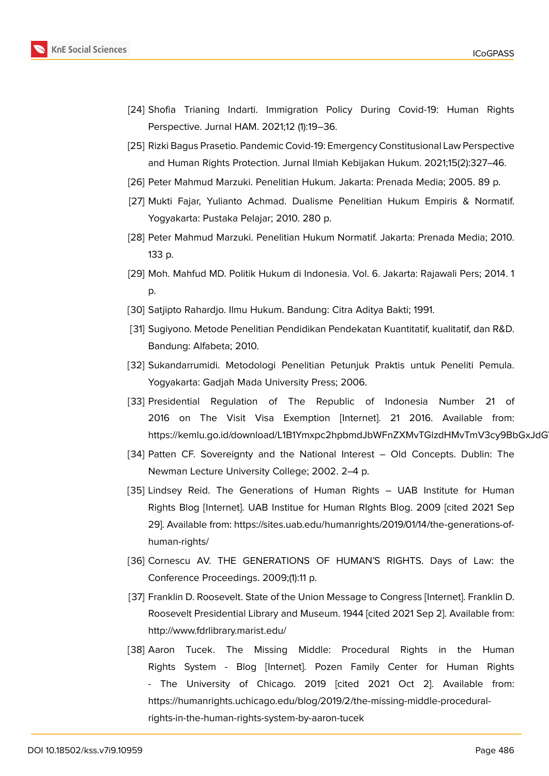

- <span id="page-21-0"></span>[24] Shofia Trianing Indarti. Immigration Policy During Covid-19: Human Rights Perspective. Jurnal HAM. 2021;12 (1):19–36.
- [25] Rizki Bagus Prasetio. Pandemic Covid-19: Emergency Constitusional Law Perspective and Human Rights Protection. Jurnal Ilmiah Kebijakan Hukum. 2021;15(2):327–46.
- <span id="page-21-1"></span>[26] Peter Mahmud Marzuki. Penelitian Hukum. Jakarta: Prenada Media; 2005. 89 p.
- <span id="page-21-2"></span>[27] Mukti Fajar, Yulianto Achmad. Dualisme Penelitian Hukum Empiris & Normatif. Yogyakarta: Pustaka Pelajar; 2010. 280 p.
- <span id="page-21-3"></span>[28] Peter Mahmud Marzuki. Penelitian Hukum Normatif. Jakarta: Prenada Media; 2010. 133 p.
- <span id="page-21-4"></span>[29] Moh. Mahfud MD. Politik Hukum di Indonesia. Vol. 6. Jakarta: Rajawali Pers; 2014. 1 p.
- <span id="page-21-5"></span>[30] Satjipto Rahardjo. Ilmu Hukum. Bandung: Citra Aditya Bakti; 1991.
- <span id="page-21-6"></span>[31] Sugiyono. Metode Penelitian Pendidikan Pendekatan Kuantitatif, kualitatif, dan R&D. Bandung: Alfabeta; 2010.
- <span id="page-21-7"></span>[32] Sukandarrumidi. Metodologi Penelitian Petunjuk Praktis untuk Peneliti Pemula. Yogyakarta: Gadjah Mada University Press; 2006.
- <span id="page-21-8"></span>[33] Presidential Regulation of The Republic of Indonesia Number 21 of 2016 on The Visit Visa Exemption [Internet]. 21 2016. Available from: https://kemlu.go.id/download/L1B1Ymxpc2hpbmdJbWFnZXMvTGlzdHMvTmV3cy9BbGxJdG
- <span id="page-21-9"></span>[34] Patten CF. Sovereignty and the National Interest – Old Concepts. Dublin: The Newman Lecture University College; 2002. 2–4 p.
- <span id="page-21-10"></span>[35] Lindsey Reid. The Generations of Human Rights – UAB Institute for Human Rights Blog [Internet]. UAB Institue for Human RIghts Blog. 2009 [cited 2021 Sep 29]. Available from: https://sites.uab.edu/humanrights/2019/01/14/the-generations-ofhuman-rights/
- <span id="page-21-11"></span>[36] Cornescu AV. THE GENERATIONS OF HUMAN'S RIGHTS. Days of Law: the Conference Proceedings. 2009;(1):11 p.
- <span id="page-21-12"></span>[37] Franklin D. Roosevelt. State of the Union Message to Congress [Internet]. Franklin D. Roosevelt Presidential Library and Museum. 1944 [cited 2021 Sep 2]. Available from: http://www.fdrlibrary.marist.edu/
- <span id="page-21-13"></span>[38] Aaron Tucek. The Missing Middle: Procedural Rights in the Human Rights System - Blog [Internet]. Pozen Family Center for Human Rights - The University of Chicago. 2019 [cited 2021 Oct 2]. Available from: https://humanrights.uchicago.edu/blog/2019/2/the-missing-middle-proceduralrights-in-the-human-rights-system-by-aaron-tucek